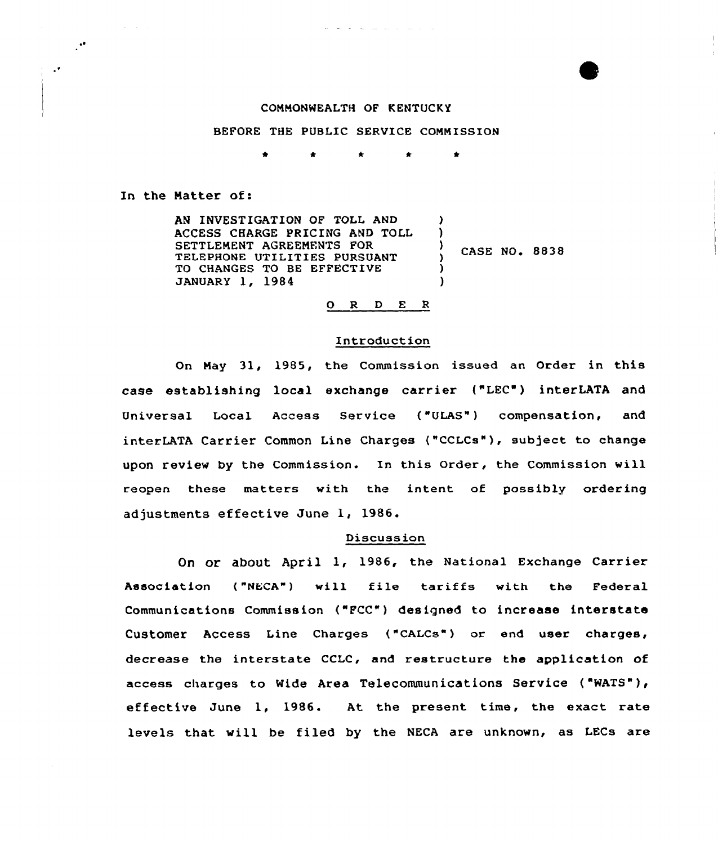## CONNONWEALTH OF KENTUCKY

## BEFORE THE PUBLIC SERVICE CONNISSION

 $\bullet$  $\bullet$  $\bullet$ 

In the Natter of:

AN INUESTIGATION OF TOLL AND ACCESS CHARGE PRICING AND TOLL SETTLENENT AGREENENTS FOR TELEPHONE UTILITIES PURSUANT TO CHANGES TO BE EFFECTIVE JANUARY 1, 1984 )  $\left\{ \right.$  $\frac{7}{2}$  CASE NO. 8838 )  $\lambda$ 

### O R D E R

# Introduction

On Nay 31, 1985, the Commission issued an Order in this case establishing local exchange carrier {"LEC") interLATA and Universal Local Access Service ("ULAS") compensation, and interLATA Carrier Common Line Charges ("CCLCs"), subject to change upon review by the Commission. In this Order, the Commission will reopen these matters with the intent of possibly ordering adjustments effective June 1, 1986.

### Discussion

On Or about April 1, 1986, the National Exchange Carrier Association ("NECA") will file tariffs with the Federal Communications Commission ("FCC") designed to increase interstate Customer Access Line Charges ("CALCs") or end user charges, decrease the interstate CCLC, and restructure the application of access charges to Wide Area Telecommunications Service ("WATS" ), effective June 1, 1986. At the present time, the exact rate levels that will be filed by the NECA are unknown, as LECs are

 $\ddot{\cdot}$ 

 $\mathcal{A}$ 

**Contract**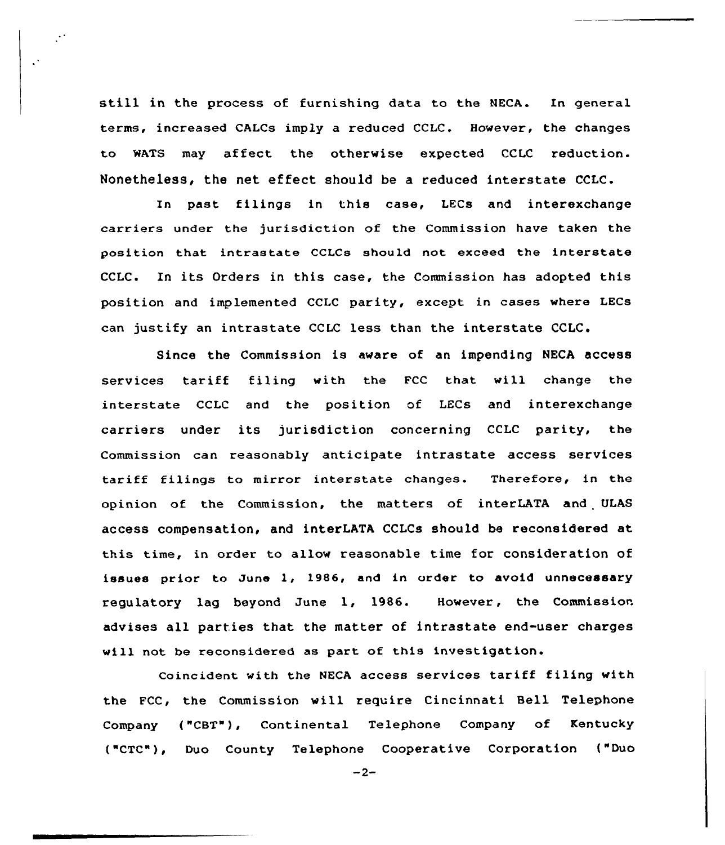still in the process of furnishing data to the NECA. In general terms, increased CALCs imply a reduced CCLC. However, the changes to MATS may affect the otherwise expected CCLC reduction. Nonetheless, the net effect should be a reduced interstate CCLC.

 $\mathbb{R}^+$ 

In past filings in this case, LECs and interexchange carriers under the jurisdiction of the Commission have taken the position that intrastate CCLCs should not exceed the interstate CCLC. In its Orders in this case, the Commission has adopted this position and implemented CCLC parity, except in cases where LECs can justify an intrastate CCLC less than the interstate CCLC.

Since the Commission is aware of an impending NECA access services tariff filing with the FCC that will change the interstate CCLC and the position of LECs and interexchange carriers under its jurisdiction concerning CCLC parity, the Commission can reasonably anticipate intrastate access services tariff filings to mirror interstate changes. Therefore, in the opinion of the Commission, the matters of interLATA and ULAS access compensation, and interLATA CCLCs should be reconsidered at this time, in order to allow reasonable time for consideration of issues prior to June 1, 1986, and in order to avoid unnecessary regulatory lag beyond June 1, 1986. However, the Commission advises all parties that the matter of intrastate end-user charges will not be reconsidered as part of this investigation.

Coincident with the NECA access services tariff filing with the FCC, the Commission will require Cincinnati Bell Telephone Company {"CBT"}, Continental Telephone Company of Kentucky ("CTC"}, Duo County Telephone Cooperative Corporation {"Duo

 $-2-$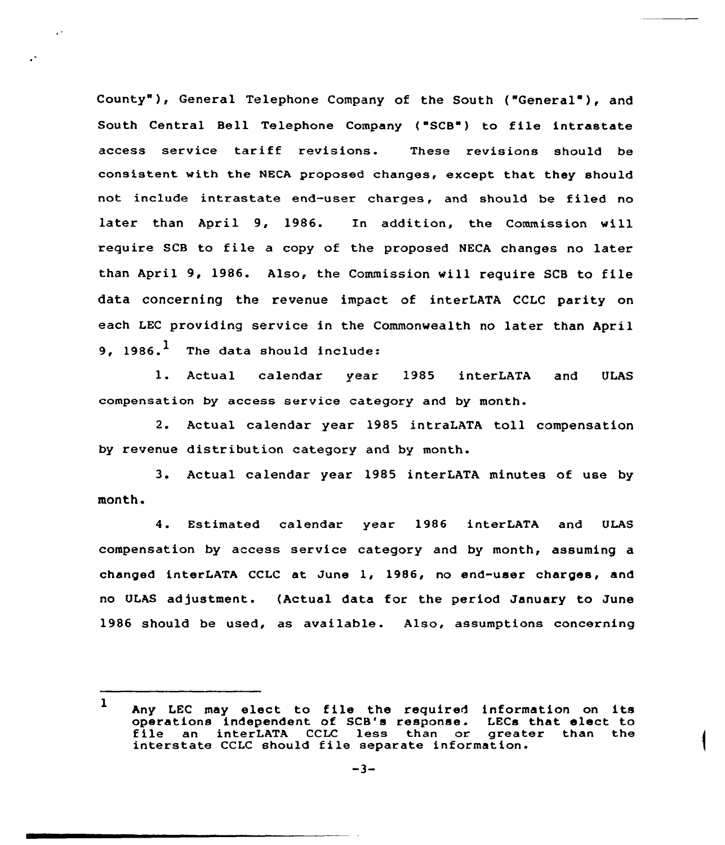County"), General Telephone Company of the South ("General"), and South Central Bell Telephone Company ("SCB") to file intrastate access service tariff revisions. These revisions should be consistent with the NECA proposed changes, except that they should not include intrastate end-user charges, and should be filed no later than April 9, 1986. In addition, the Commission will require SCB to file <sup>a</sup> copy of the proposed NECA changes no later than April 9, 1986. Also, the Commission will require SCB to file data concerning the revenue impact of interLATA CCLC parity on each LEC providing service in the Commonwealth no later than April 9. 1986. $<sup>1</sup>$  The data should include:</sup>

l. Actual calendar year <sup>1985</sup> interLATA and ULAS compensation by access service category and by month.

2. Actual calendar year 1985 intraLATA toll compensation by revenue distribution category and by month.

3. Actual calendar year 1985 interLATA minutes of use by month.

4. Estimated calendar year 1986 interLATA and ULAS compensation by access service category and by month, assuming a changed interLATA CCLC at June 1, l986, no end-user charges, and no ULAS adjustment. (Actual data for the period January to June 1986 should be used, as available. Also, assumptions concerning

<sup>1</sup> Any LEC may elect to file the required information on its operations independent of SCB's response. LECs that elect to file an interLATA CCLC less than or greater than the interstate CCLC should file separate information.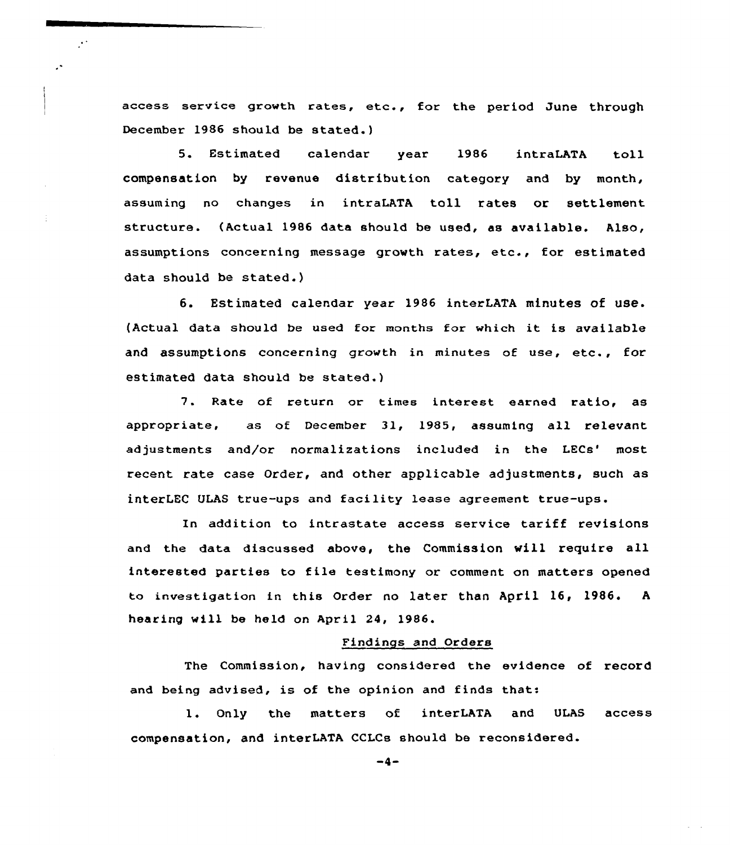access service growth rates, etc., for the period June through December 1986 should be stated.)

 $\mathbb{R}^3$ 

 $\mathbb{R}^2$ 

5. Estimated calendar year 1986 intraLATA toll compensation by revenue distribution category and by month, assuming no changes in intraLATA toll rates or settlement structure. {Actual 1986 data should be used, as available. Also, assumptions concerning message growth rates, etc., for estimated data should be stated.)

6. Estimated calendar year 1986 interLATA minutes of use. (Actual data should be used for months for which it is available and assumptions concerning growth in minutes of use, etc., for estimated data should be stated.)

7. Rate of return or times interest earned ratio, as appropriate, as of December 31, 1985, assuming all relevant adjustments and/or normalizations included in the LECs' most recent rate case Order, and other applicable adjustments, such as interLEC ULAS true-ups and facility lease agreement true-ups.

In addition to intrastate access service tariff revisions and the data discussed above, the Commission vill require all interested parties to file testimony or comment on matters opened to investigation in this Order no later than Apri1 16, 1986. <sup>A</sup> hearing will be held on April 24, 1986.

### Findings and Orders

The Commission, having considered the evidence of record and being advised, is of the opinion and finds that:

l. Only the matters of interLATA and ULAS access compensation, and interLATA CCLCs should be reconsidered.

 $-4-$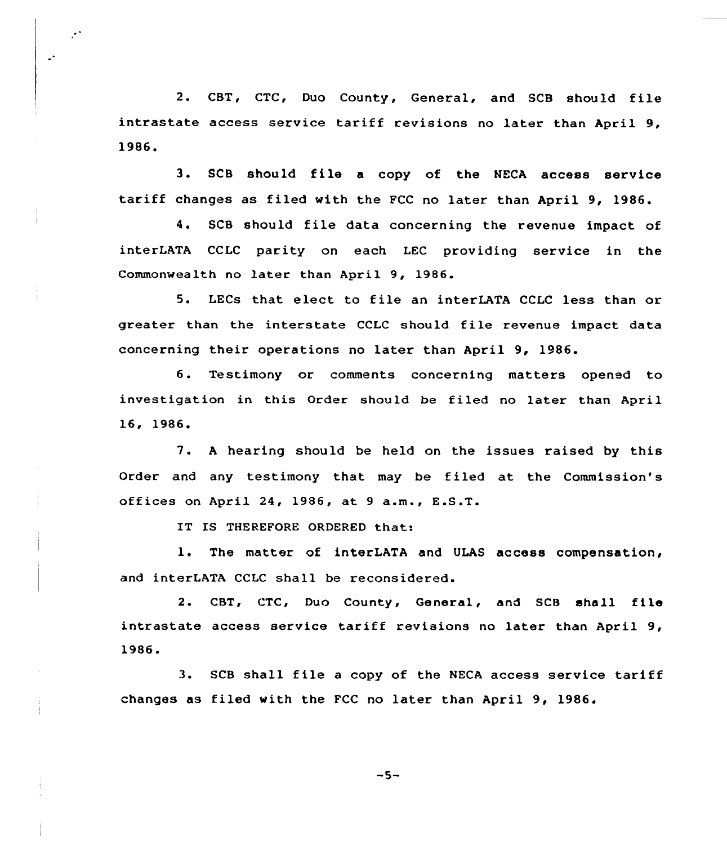2. CBT, CTC, Duo County, General, and SCB should file intrastate access service tariff revisions no later than April 9, 1986.

3. SCB should file <sup>a</sup> copy of the NECA access service tariff changes as filed with the FCC no later than April 9, 1986.

4. SCB should file data concerning the revenue impact of interLATA CCLC parity on each LEC providing service in the Commonwealth no later than April 9, 1986.

5. LECs that elect to file an interLATA CCLC less than or greater than the interstate CCLC should file revenue impact data concerning their operations no later than April 9, 1986.

6. Testimony or comments concerning matters opened to investigation in this Order should be filed no later than April 16, 1986.

7. <sup>A</sup> hearing should be held on the issues raised by this Order and any testimony that may be filed at the Commission's offices on April 24, 1986, at <sup>9</sup> a.m., E.S.T.

IT IS THEREFORE ORDERED that:

 $\mathcal{C}^{\mathcal{A}}$ 

 $\mathbb{R}^4$ 

1. The matter of interLATA and ULAS access compensation, and interLATA CCLC shall be reconsidered.

2. CBT, CTC, Duo County, General, and SCB shall file intrastate access service tariff revisions no later than April 9, 1986.

3. SCB shall file <sup>a</sup> copy of the NECA access service tariff changes as filed with the FCC no later than April 9, 1986.

 $-5-$